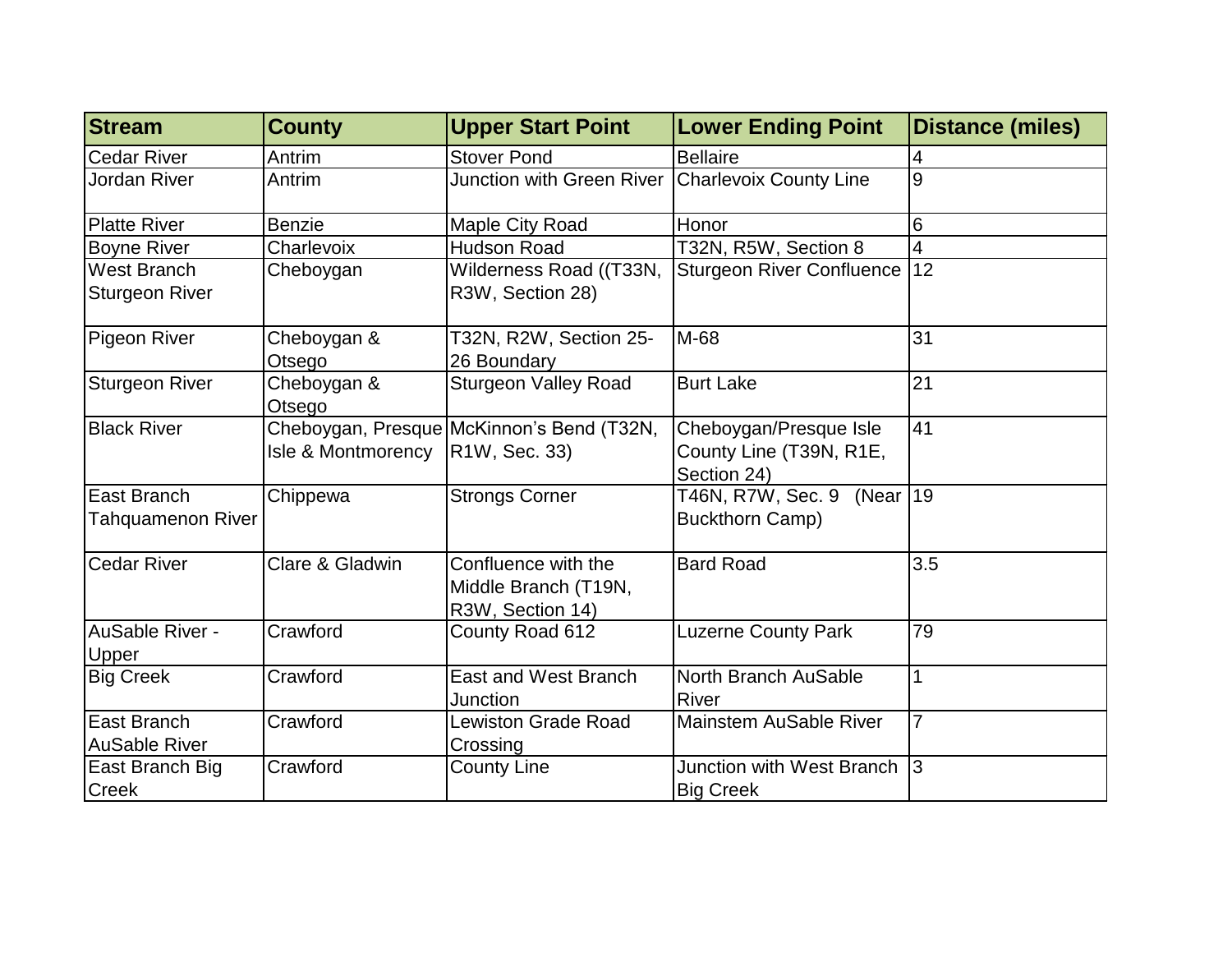| <b>Stream</b>                               | <b>County</b>         | <b>Upper Start Point</b>                                        | <b>Lower Ending Point</b>                                        | <b>Distance (miles)</b> |
|---------------------------------------------|-----------------------|-----------------------------------------------------------------|------------------------------------------------------------------|-------------------------|
| <b>Cedar River</b>                          | Antrim                | <b>Stover Pond</b>                                              | <b>Bellaire</b>                                                  | 4                       |
| Jordan River                                | Antrim                | Junction with Green River   Charlevoix County Line              |                                                                  | 9                       |
| <b>Platte River</b>                         | <b>Benzie</b>         | Maple City Road                                                 | Honor                                                            | 6                       |
| <b>Boyne River</b>                          | Charlevoix            | <b>Hudson Road</b>                                              | T32N, R5W, Section 8                                             | 4                       |
| <b>West Branch</b><br><b>Sturgeon River</b> | Cheboygan             | Wilderness Road ((T33N,<br>R3W, Section 28)                     | <b>Sturgeon River Confluence</b>                                 | 12                      |
| Pigeon River                                | Cheboygan &<br>Otsego | T32N, R2W, Section 25-<br>26 Boundary                           | M-68                                                             | 31                      |
| <b>Sturgeon River</b>                       | Cheboygan &<br>Otsego | <b>Sturgeon Valley Road</b>                                     | <b>Burt Lake</b>                                                 | 21                      |
| <b>Black River</b>                          | Isle & Montmorency    | Cheboygan, Presque McKinnon's Bend (T32N,<br>R1W, Sec. 33)      | Cheboygan/Presque Isle<br>County Line (T39N, R1E,<br>Section 24) | 41                      |
| East Branch<br><b>Tahquamenon River</b>     | Chippewa              | <b>Strongs Corner</b>                                           | T46N, R7W, Sec. 9 (Near   19<br><b>Buckthorn Camp)</b>           |                         |
| <b>Cedar River</b>                          | Clare & Gladwin       | Confluence with the<br>Middle Branch (T19N,<br>R3W, Section 14) | <b>Bard Road</b>                                                 | 3.5                     |
| AuSable River -<br>Upper                    | Crawford              | County Road 612                                                 | <b>Luzerne County Park</b>                                       | 79                      |
| <b>Big Creek</b>                            | Crawford              | <b>East and West Branch</b><br>Junction                         | North Branch AuSable<br><b>River</b>                             | 1                       |
| East Branch<br><b>AuSable River</b>         | Crawford              | Lewiston Grade Road<br>Crossing                                 | <b>Mainstem AuSable River</b>                                    | $\overline{7}$          |
| East Branch Big<br><b>Creek</b>             | Crawford              | <b>County Line</b>                                              | Junction with West Branch<br><b>Big Creek</b>                    | 3                       |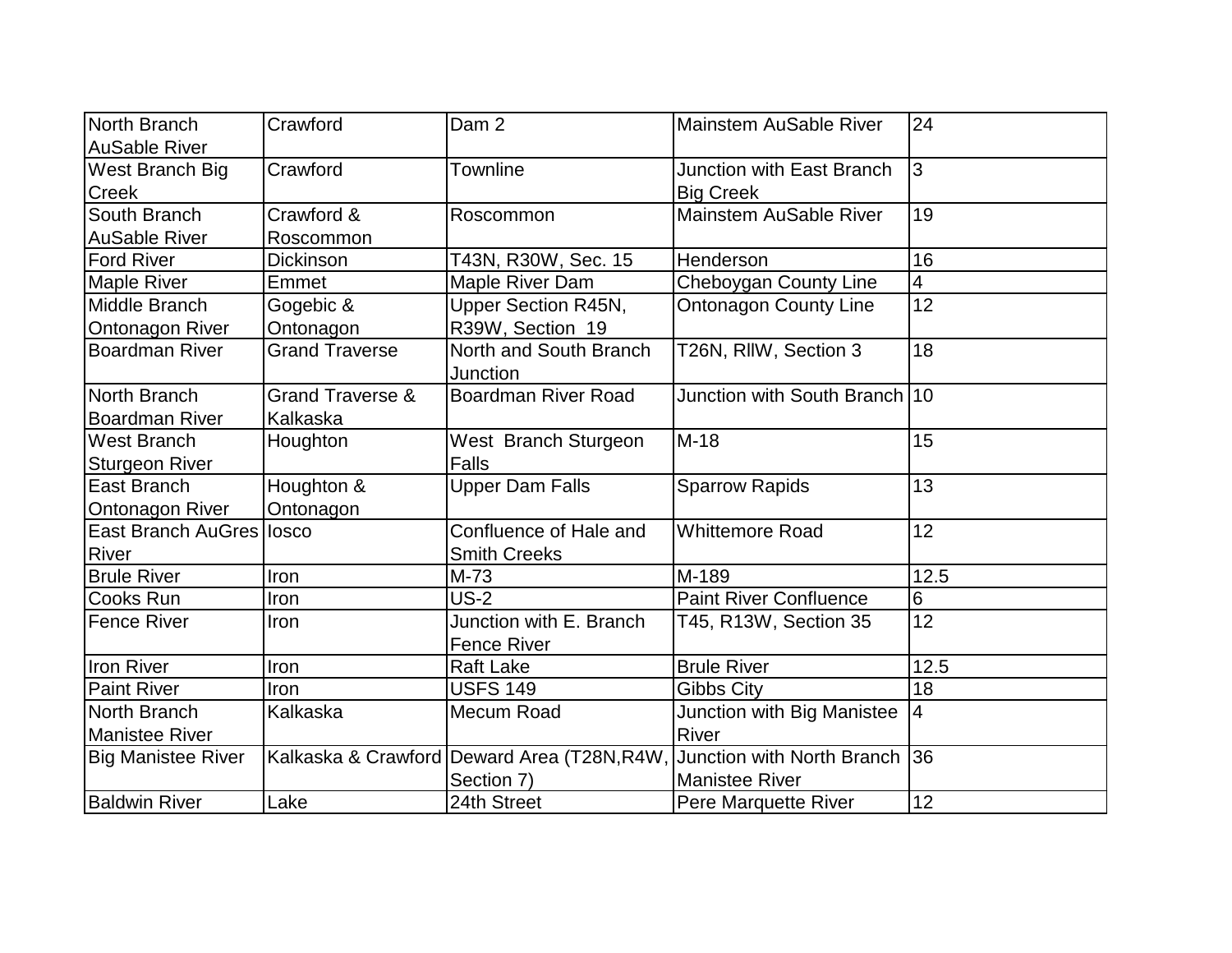| North Branch              | Crawford                    | Dam <sub>2</sub>                           | <b>Mainstem AuSable River</b>    | 24              |
|---------------------------|-----------------------------|--------------------------------------------|----------------------------------|-----------------|
| <b>AuSable River</b>      |                             |                                            |                                  |                 |
| West Branch Big           | Crawford                    | <b>Townline</b>                            | <b>Junction with East Branch</b> | l3              |
| <b>Creek</b>              |                             |                                            | <b>Big Creek</b>                 |                 |
| South Branch              | Crawford &                  | Roscommon                                  | <b>Mainstem AuSable River</b>    | 19              |
| <b>AuSable River</b>      | Roscommon                   |                                            |                                  |                 |
| <b>Ford River</b>         | Dickinson                   | T43N, R30W, Sec. 15                        | Henderson                        | 16              |
| <b>Maple River</b>        | Emmet                       | Maple River Dam                            | <b>Cheboygan County Line</b>     | 4               |
| Middle Branch             | Gogebic &                   | <b>Upper Section R45N,</b>                 | <b>Ontonagon County Line</b>     | $\overline{12}$ |
| <b>Ontonagon River</b>    | Ontonagon                   | R39W, Section 19                           |                                  |                 |
| <b>Boardman River</b>     | <b>Grand Traverse</b>       | North and South Branch                     | T26N, RIIW, Section 3            | 18              |
|                           |                             | Junction                                   |                                  |                 |
| North Branch              | <b>Grand Traverse &amp;</b> | <b>Boardman River Road</b>                 | Junction with South Branch 10    |                 |
| <b>Boardman River</b>     | Kalkaska                    |                                            |                                  |                 |
| <b>West Branch</b>        | Houghton                    | West Branch Sturgeon                       | $M-18$                           | 15              |
| <b>Sturgeon River</b>     |                             | <b>Falls</b>                               |                                  |                 |
| East Branch               | Houghton &                  | <b>Upper Dam Falls</b>                     | <b>Sparrow Rapids</b>            | 13              |
| <b>Ontonagon River</b>    | Ontonagon                   |                                            |                                  |                 |
| East Branch AuGres Iosco  |                             | Confluence of Hale and                     | <b>Whittemore Road</b>           | 12              |
| <b>River</b>              |                             | <b>Smith Creeks</b>                        |                                  |                 |
| <b>Brule River</b>        | Iron                        | $M-73$                                     | M-189                            | 12.5            |
| <b>Cooks Run</b>          | Iron                        | $US-2$                                     | <b>Paint River Confluence</b>    | 6               |
| <b>Fence River</b>        | Iron                        | Junction with E. Branch                    | T45, R13W, Section 35            | $\overline{12}$ |
|                           |                             | <b>Fence River</b>                         |                                  |                 |
| Iron River                | Iron                        | <b>Raft Lake</b>                           | <b>Brule River</b>               | 12.5            |
| <b>Paint River</b>        | Iron                        | <b>USFS 149</b>                            | <b>Gibbs City</b>                | 18              |
| North Branch              | Kalkaska                    | Mecum Road                                 | Junction with Big Manistee       | $\overline{4}$  |
| Manistee River            |                             |                                            | River                            |                 |
| <b>Big Manistee River</b> |                             | Kalkaska & Crawford Deward Area (T28N,R4W, | Junction with North Branch       | 36              |
|                           |                             | Section 7)                                 | <b>Manistee River</b>            |                 |
| <b>Baldwin River</b>      | Lake                        | 24th Street                                | Pere Marquette River             | 12              |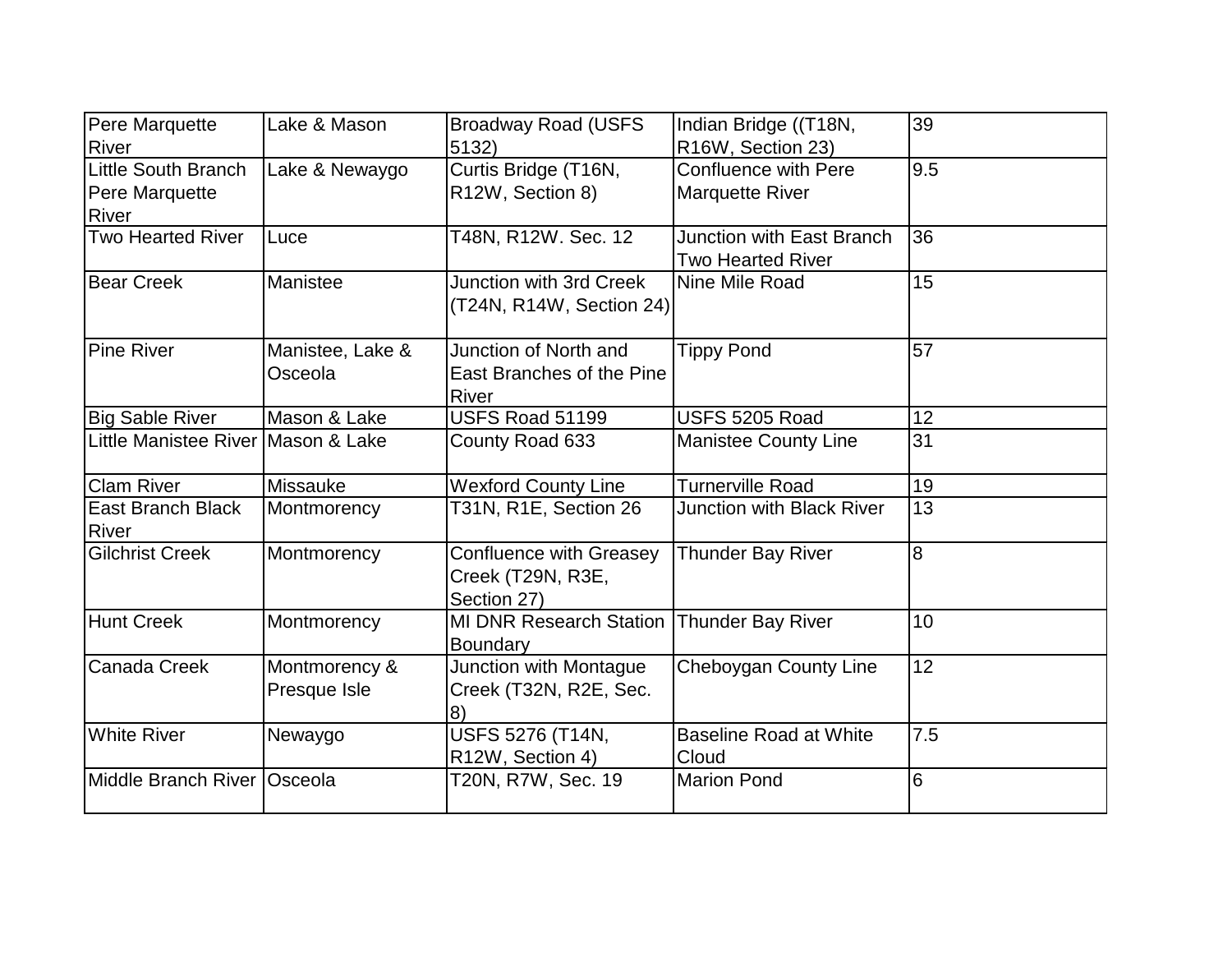| <b>Pere Marquette</b>                        | Lake & Mason                  | <b>Broadway Road (USFS)</b>                                        | Indian Bridge ((T18N,                                        | 39  |
|----------------------------------------------|-------------------------------|--------------------------------------------------------------------|--------------------------------------------------------------|-----|
| <b>River</b>                                 |                               | 5132)                                                              | R16W, Section 23)                                            |     |
| <b>Little South Branch</b><br>Pere Marquette | Lake & Newaygo                | Curtis Bridge (T16N,<br>R12W, Section 8)                           | <b>Confluence with Pere</b><br><b>Marquette River</b>        | 9.5 |
| <b>River</b>                                 |                               |                                                                    |                                                              |     |
| <b>Two Hearted River</b>                     | Luce                          | T48N, R12W. Sec. 12                                                | <b>Junction with East Branch</b><br><b>Two Hearted River</b> | 36  |
| Bear Creek                                   | Manistee                      | Junction with 3rd Creek<br>(T24N, R14W, Section 24)                | Nine Mile Road                                               | 15  |
| <b>Pine River</b>                            | Manistee, Lake &<br>Osceola   | Junction of North and<br>East Branches of the Pine<br><b>River</b> | <b>Tippy Pond</b>                                            | 57  |
| <b>Big Sable River</b>                       | Mason & Lake                  | USFS Road 51199                                                    | USFS 5205 Road                                               | 12  |
| Little Manistee River Mason & Lake           |                               | County Road 633                                                    | <b>Manistee County Line</b>                                  | 31  |
| <b>Clam River</b>                            | <b>Missauke</b>               | <b>Wexford County Line</b>                                         | <b>Turnerville Road</b>                                      | 19  |
| East Branch Black<br><b>River</b>            | Montmorency                   | T31N, R1E, Section 26                                              | <b>Junction with Black River</b>                             | 13  |
| <b>Gilchrist Creek</b>                       | Montmorency                   | <b>Confluence with Greasey</b><br>Creek (T29N, R3E,<br>Section 27) | <b>Thunder Bay River</b>                                     | 8   |
| Hunt Creek                                   | Montmorency                   | <b>MI DNR Research Station</b><br>Boundary                         | <b>Thunder Bay River</b>                                     | 10  |
| <b>Canada Creek</b>                          | Montmorency &<br>Presque Isle | Junction with Montague<br>Creek (T32N, R2E, Sec.<br>8)             | Cheboygan County Line                                        | 12  |
| <b>White River</b>                           | Newaygo                       | USFS 5276 (T14N,<br>R12W, Section 4)                               | <b>Baseline Road at White</b><br>Cloud                       | 7.5 |
| Middle Branch River   Osceola                |                               | T20N, R7W, Sec. 19                                                 | <b>Marion Pond</b>                                           | 6   |